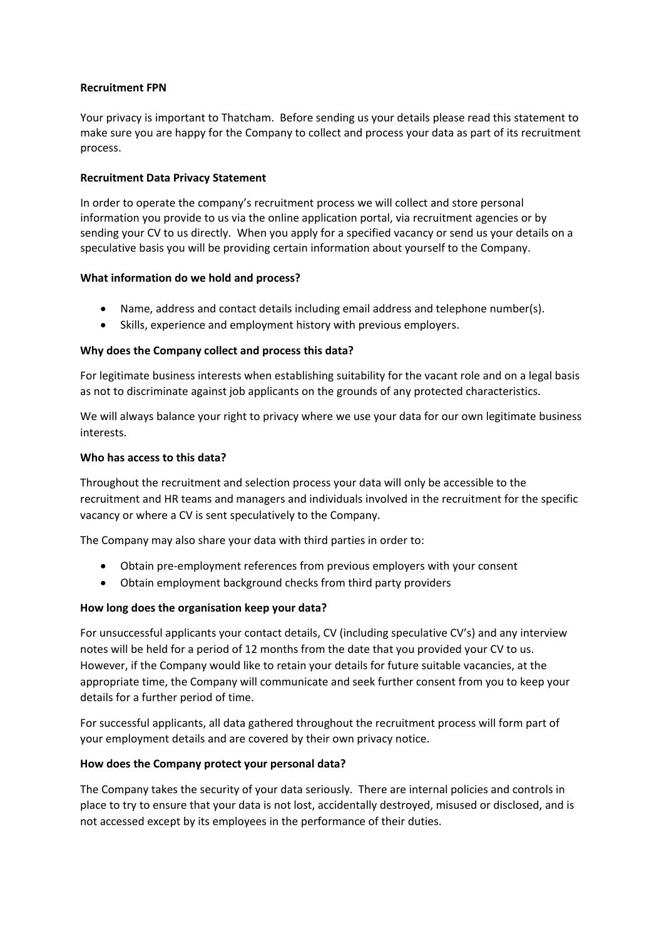#### **Recruitment FPN**

Your privacy is important to Thatcham. Before sending us your details please read this statement to make sure you are happy for the Company to collect and process your data as part of its recruitment process.

# **Recruitment Data Privacy Statement**

In order to operate the company's recruitment process we will collect and store personal information you provide to us via the online application portal, via recruitment agencies or by sending your CV to us directly. When you apply for a specified vacancy or send us your details on a speculative basis you will be providing certain information about yourself to the Company.

## **What information do we hold and process?**

- Name, address and contact details including email address and telephone number(s).
- Skills, experience and employment history with previous employers.

## **Why does the Company collect and process this data?**

For legitimate business interests when establishing suitability for the vacant role and on a legal basis as not to discriminate against job applicants on the grounds of any protected characteristics.

We will always balance your right to privacy where we use your data for our own legitimate business interests.

#### **Who has access to this data?**

Throughout the recruitment and selection process your data will only be accessible to the recruitment and HR teams and managers and individuals involved in the recruitment for the specific vacancy or where a CV is sent speculatively to the Company.

The Company may also share your data with third parties in order to:

- Obtain pre-employment references from previous employers with your consent
- Obtain employment background checks from third party providers

# **How long does the organisation keep your data?**

For unsuccessful applicants your contact details, CV (including speculative CV's) and any interview notes will be held for a period of 12 months from the date that you provided your CV to us. However, if the Company would like to retain your details for future suitable vacancies, at the appropriate time, the Company will communicate and seek further consent from you to keep your details for a further period of time.

For successful applicants, all data gathered throughout the recruitment process will form part of your employment details and are covered by their own privacy notice.

#### **How does the Company protect your personal data?**

The Company takes the security of your data seriously. There are internal policies and controls in place to try to ensure that your data is not lost, accidentally destroyed, misused or disclosed, and is not accessed except by its employees in the performance of their duties.